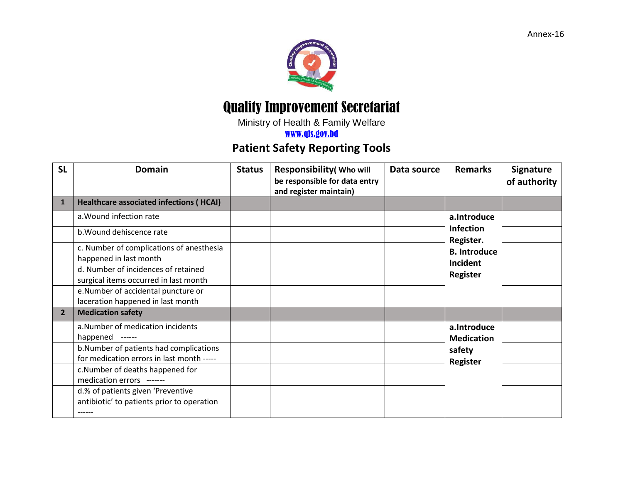## Quality Improvement Secretariat

Ministry of Health & Family Welfare

[www.qis.gov.bd](http://www.qis.gov.bd/)

## **Patient Safety Reporting Tools**

| <b>SL</b>      | <b>Domain</b>                                                                             | <b>Status</b> | Responsibility (Who will<br>be responsible for data entry<br>and register maintain) | Data source | <b>Remarks</b>                                                                  | <b>Signature</b><br>of authority |
|----------------|-------------------------------------------------------------------------------------------|---------------|-------------------------------------------------------------------------------------|-------------|---------------------------------------------------------------------------------|----------------------------------|
| $\mathbf{1}$   | <b>Healthcare associated infections (HCAI)</b>                                            |               |                                                                                     |             |                                                                                 |                                  |
|                | a. Wound infection rate                                                                   |               |                                                                                     |             | a.Introduce<br><b>Infection</b><br>Register.<br><b>B.</b> Introduce<br>Incident |                                  |
|                | b. Wound dehiscence rate                                                                  |               |                                                                                     |             |                                                                                 |                                  |
|                | c. Number of complications of anesthesia                                                  |               |                                                                                     |             |                                                                                 |                                  |
|                | happened in last month                                                                    |               |                                                                                     |             |                                                                                 |                                  |
|                | d. Number of incidences of retained                                                       |               |                                                                                     |             | <b>Register</b>                                                                 |                                  |
|                | surgical items occurred in last month                                                     |               |                                                                                     |             |                                                                                 |                                  |
|                | e.Number of accidental puncture or                                                        |               |                                                                                     |             |                                                                                 |                                  |
|                | laceration happened in last month                                                         |               |                                                                                     |             |                                                                                 |                                  |
| $\overline{2}$ | <b>Medication safety</b>                                                                  |               |                                                                                     |             |                                                                                 |                                  |
|                | a.Number of medication incidents<br>happened<br>$-----1$                                  |               |                                                                                     |             | a.Introduce<br><b>Medication</b><br>safety<br><b>Register</b>                   |                                  |
|                | b.Number of patients had complications<br>for medication errors in last month -----       |               |                                                                                     |             |                                                                                 |                                  |
|                | c.Number of deaths happened for<br>medication errors -------                              |               |                                                                                     |             |                                                                                 |                                  |
|                | d.% of patients given 'Preventive<br>antibiotic' to patients prior to operation<br>------ |               |                                                                                     |             |                                                                                 |                                  |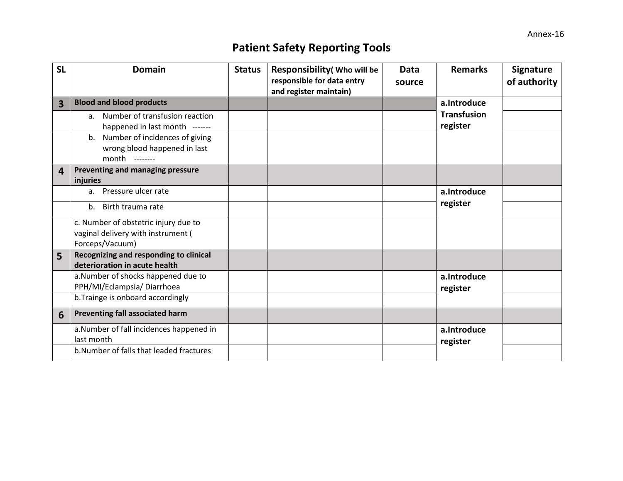## **Patient Safety Reporting Tools**

| <b>SL</b> | <b>Domain</b>                                                                                  | <b>Status</b> | <b>Responsibility (Who will be</b><br>responsible for data entry<br>and register maintain) | <b>Data</b><br>source | <b>Remarks</b>                 | <b>Signature</b><br>of authority |
|-----------|------------------------------------------------------------------------------------------------|---------------|--------------------------------------------------------------------------------------------|-----------------------|--------------------------------|----------------------------------|
| 3         | <b>Blood and blood products</b>                                                                |               |                                                                                            |                       | a.Introduce                    |                                  |
|           | a. Number of transfusion reaction<br>happened in last month -------                            |               |                                                                                            |                       | <b>Transfusion</b><br>register |                                  |
|           | Number of incidences of giving<br>$b_{1}$<br>wrong blood happened in last<br>month<br>-------- |               |                                                                                            |                       |                                |                                  |
| 4         | Preventing and managing pressure<br>injuries                                                   |               |                                                                                            |                       |                                |                                  |
|           | a. Pressure ulcer rate                                                                         |               |                                                                                            |                       | a.Introduce<br>register        |                                  |
|           | b. Birth trauma rate                                                                           |               |                                                                                            |                       |                                |                                  |
|           | c. Number of obstetric injury due to<br>vaginal delivery with instrument (<br>Forceps/Vacuum)  |               |                                                                                            |                       |                                |                                  |
| 5         | Recognizing and responding to clinical<br>deterioration in acute health                        |               |                                                                                            |                       |                                |                                  |
|           | a.Number of shocks happened due to<br>PPH/MI/Eclampsia/Diarrhoea                               |               |                                                                                            |                       | a.Introduce<br>register        |                                  |
|           | b. Trainge is onboard accordingly                                                              |               |                                                                                            |                       |                                |                                  |
| 6         | Preventing fall associated harm                                                                |               |                                                                                            |                       |                                |                                  |
|           | a.Number of fall incidences happened in<br>last month                                          |               |                                                                                            |                       | a.Introduce<br>register        |                                  |
|           | b. Number of falls that leaded fractures                                                       |               |                                                                                            |                       |                                |                                  |